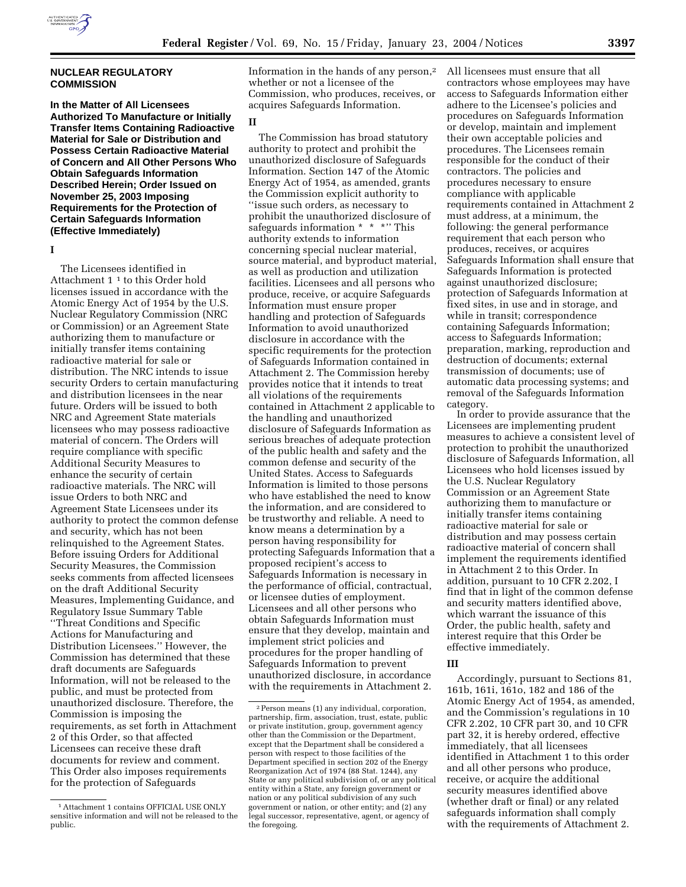

# **NUCLEAR REGULATORY COMMISSION**

**In the Matter of All Licensees Authorized To Manufacture or Initially Transfer Items Containing Radioactive Material for Sale or Distribution and Possess Certain Radioactive Material of Concern and All Other Persons Who Obtain Safeguards Information Described Herein; Order Issued on November 25, 2003 Imposing Requirements for the Protection of Certain Safeguards Information (Effective Immediately)** 

**I** 

The Licensees identified in Attachment 1 1 to this Order hold licenses issued in accordance with the Atomic Energy Act of 1954 by the U.S. Nuclear Regulatory Commission (NRC or Commission) or an Agreement State authorizing them to manufacture or initially transfer items containing radioactive material for sale or distribution. The NRC intends to issue security Orders to certain manufacturing and distribution licensees in the near future. Orders will be issued to both NRC and Agreement State materials licensees who may possess radioactive material of concern. The Orders will require compliance with specific Additional Security Measures to enhance the security of certain radioactive materials. The NRC will issue Orders to both NRC and Agreement State Licensees under its authority to protect the common defense and security, which has not been relinquished to the Agreement States. Before issuing Orders for Additional Security Measures, the Commission seeks comments from affected licensees on the draft Additional Security Measures, Implementing Guidance, and Regulatory Issue Summary Table ''Threat Conditions and Specific Actions for Manufacturing and Distribution Licensees.'' However, the Commission has determined that these draft documents are Safeguards Information, will not be released to the public, and must be protected from unauthorized disclosure. Therefore, the Commission is imposing the requirements, as set forth in Attachment 2 of this Order, so that affected Licensees can receive these draft documents for review and comment. This Order also imposes requirements for the protection of Safeguards

1Attachment 1 contains OFFICIAL USE ONLY sensitive information and will not be released to the public.

Information in the hands of any person,<sup>2</sup> whether or not a licensee of the Commission, who produces, receives, or acquires Safeguards Information.

### **II**

The Commission has broad statutory authority to protect and prohibit the unauthorized disclosure of Safeguards Information. Section 147 of the Atomic Energy Act of 1954, as amended, grants the Commission explicit authority to ''issue such orders, as necessary to prohibit the unauthorized disclosure of safeguards information \* \* \*" This authority extends to information concerning special nuclear material, source material, and byproduct material, as well as production and utilization facilities. Licensees and all persons who produce, receive, or acquire Safeguards Information must ensure proper handling and protection of Safeguards Information to avoid unauthorized disclosure in accordance with the specific requirements for the protection of Safeguards Information contained in Attachment 2. The Commission hereby provides notice that it intends to treat all violations of the requirements contained in Attachment 2 applicable to the handling and unauthorized disclosure of Safeguards Information as serious breaches of adequate protection of the public health and safety and the common defense and security of the United States. Access to Safeguards Information is limited to those persons who have established the need to know the information, and are considered to be trustworthy and reliable. A need to know means a determination by a person having responsibility for protecting Safeguards Information that a proposed recipient's access to Safeguards Information is necessary in the performance of official, contractual, or licensee duties of employment. Licensees and all other persons who obtain Safeguards Information must ensure that they develop, maintain and implement strict policies and procedures for the proper handling of Safeguards Information to prevent unauthorized disclosure, in accordance with the requirements in Attachment 2.

All licensees must ensure that all contractors whose employees may have access to Safeguards Information either adhere to the Licensee's policies and procedures on Safeguards Information or develop, maintain and implement their own acceptable policies and procedures. The Licensees remain responsible for the conduct of their contractors. The policies and procedures necessary to ensure compliance with applicable requirements contained in Attachment 2 must address, at a minimum, the following: the general performance requirement that each person who produces, receives, or acquires Safeguards Information shall ensure that Safeguards Information is protected against unauthorized disclosure; protection of Safeguards Information at fixed sites, in use and in storage, and while in transit; correspondence containing Safeguards Information; access to Safeguards Information; preparation, marking, reproduction and destruction of documents; external transmission of documents; use of automatic data processing systems; and removal of the Safeguards Information category.

In order to provide assurance that the Licensees are implementing prudent measures to achieve a consistent level of protection to prohibit the unauthorized disclosure of Safeguards Information, all Licensees who hold licenses issued by the U.S. Nuclear Regulatory Commission or an Agreement State authorizing them to manufacture or initially transfer items containing radioactive material for sale or distribution and may possess certain radioactive material of concern shall implement the requirements identified in Attachment 2 to this Order. In addition, pursuant to 10 CFR 2.202, I find that in light of the common defense and security matters identified above, which warrant the issuance of this Order, the public health, safety and interest require that this Order be effective immediately.

#### **III**

Accordingly, pursuant to Sections 81, 161b, 161i, 161o, 182 and 186 of the Atomic Energy Act of 1954, as amended, and the Commission's regulations in 10 CFR 2.202, 10 CFR part 30, and 10 CFR part 32, it is hereby ordered, effective immediately, that all licensees identified in Attachment 1 to this order and all other persons who produce, receive, or acquire the additional security measures identified above (whether draft or final) or any related safeguards information shall comply with the requirements of Attachment 2.

<sup>2</sup>Person means (1) any individual, corporation, partnership, firm, association, trust, estate, public or private institution, group, government agency other than the Commission or the Department, except that the Department shall be considered a person with respect to those facilities of the Department specified in section 202 of the Energy Reorganization Act of 1974 (88 Stat. 1244), any State or any political subdivision of, or any political entity within a State, any foreign government or nation or any political subdivision of any such government or nation, or other entity; and (2) any legal successor, representative, agent, or agency of the foregoing.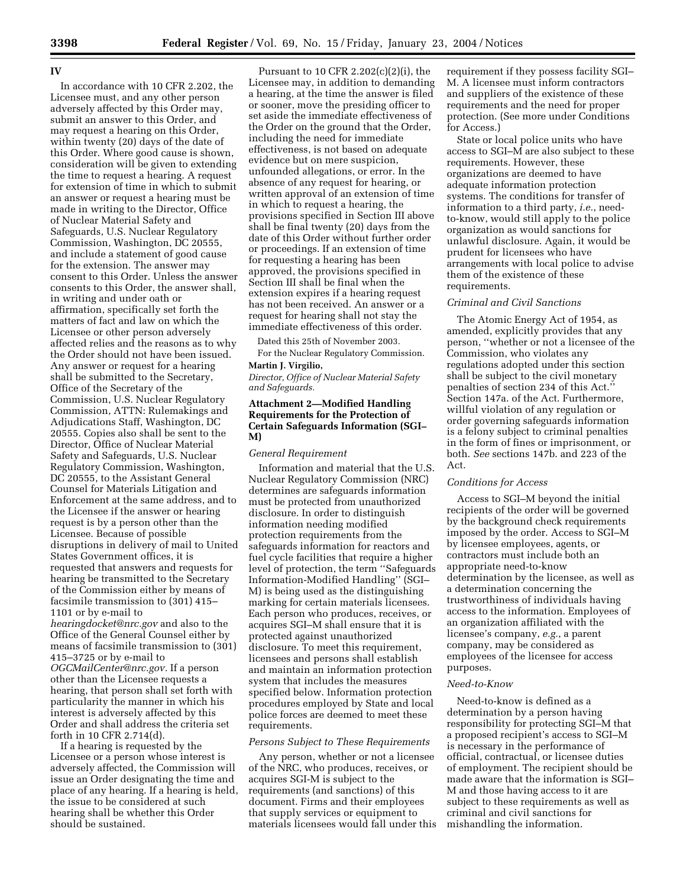#### **IV**

In accordance with 10 CFR 2.202, the Licensee must, and any other person adversely affected by this Order may, submit an answer to this Order, and may request a hearing on this Order, within twenty (20) days of the date of this Order. Where good cause is shown, consideration will be given to extending the time to request a hearing. A request for extension of time in which to submit an answer or request a hearing must be made in writing to the Director, Office of Nuclear Material Safety and Safeguards, U.S. Nuclear Regulatory Commission, Washington, DC 20555, and include a statement of good cause for the extension. The answer may consent to this Order. Unless the answer consents to this Order, the answer shall, in writing and under oath or affirmation, specifically set forth the matters of fact and law on which the Licensee or other person adversely affected relies and the reasons as to why the Order should not have been issued. Any answer or request for a hearing shall be submitted to the Secretary, Office of the Secretary of the Commission, U.S. Nuclear Regulatory Commission, ATTN: Rulemakings and Adjudications Staff, Washington, DC 20555. Copies also shall be sent to the Director, Office of Nuclear Material Safety and Safeguards, U.S. Nuclear Regulatory Commission, Washington, DC 20555, to the Assistant General Counsel for Materials Litigation and Enforcement at the same address, and to the Licensee if the answer or hearing request is by a person other than the Licensee. Because of possible disruptions in delivery of mail to United States Government offices, it is requested that answers and requests for hearing be transmitted to the Secretary of the Commission either by means of facsimile transmission to (301) 415– 1101 or by e-mail to

*hearingdocket@nrc.gov* and also to the Office of the General Counsel either by means of facsimile transmission to (301) 415–3725 or by e-mail to *OGCMailCenter@nrc.gov.* If a person other than the Licensee requests a hearing, that person shall set forth with particularity the manner in which his interest is adversely affected by this Order and shall address the criteria set forth in 10 CFR 2.714(d).

If a hearing is requested by the Licensee or a person whose interest is adversely affected, the Commission will issue an Order designating the time and place of any hearing. If a hearing is held, the issue to be considered at such hearing shall be whether this Order should be sustained.

Pursuant to 10 CFR 2.202(c)(2)(i), the Licensee may, in addition to demanding a hearing, at the time the answer is filed or sooner, move the presiding officer to set aside the immediate effectiveness of the Order on the ground that the Order, including the need for immediate effectiveness, is not based on adequate evidence but on mere suspicion, unfounded allegations, or error. In the absence of any request for hearing, or written approval of an extension of time in which to request a hearing, the provisions specified in Section III above shall be final twenty (20) days from the date of this Order without further order or proceedings. If an extension of time for requesting a hearing has been approved, the provisions specified in Section III shall be final when the extension expires if a hearing request has not been received. An answer or a request for hearing shall not stay the immediate effectiveness of this order.

Dated this 25th of November 2003.

For the Nuclear Regulatory Commission. **Martin J. Virgilio,** 

*Director, Office of Nuclear Material Safety and Safeguards.*

# **Attachment 2—Modified Handling Requirements for the Protection of Certain Safeguards Information (SGI– M)**

#### *General Requirement*

Information and material that the U.S. Nuclear Regulatory Commission (NRC) determines are safeguards information must be protected from unauthorized disclosure. In order to distinguish information needing modified protection requirements from the safeguards information for reactors and fuel cycle facilities that require a higher level of protection, the term ''Safeguards Information-Modified Handling'' (SGI– M) is being used as the distinguishing marking for certain materials licensees. Each person who produces, receives, or acquires SGI–M shall ensure that it is protected against unauthorized disclosure. To meet this requirement, licensees and persons shall establish and maintain an information protection system that includes the measures specified below. Information protection procedures employed by State and local police forces are deemed to meet these requirements.

# *Persons Subject to These Requirements*

Any person, whether or not a licensee of the NRC, who produces, receives, or acquires SGI-M is subject to the requirements (and sanctions) of this document. Firms and their employees that supply services or equipment to materials licensees would fall under this

requirement if they possess facility SGI– M. A licensee must inform contractors and suppliers of the existence of these requirements and the need for proper protection. (See more under Conditions for Access.)

State or local police units who have access to SGI–M are also subject to these requirements. However, these organizations are deemed to have adequate information protection systems. The conditions for transfer of information to a third party, *i.e.*, needto-know, would still apply to the police organization as would sanctions for unlawful disclosure. Again, it would be prudent for licensees who have arrangements with local police to advise them of the existence of these requirements.

# *Criminal and Civil Sanctions*

The Atomic Energy Act of 1954, as amended, explicitly provides that any person, ''whether or not a licensee of the Commission, who violates any regulations adopted under this section shall be subject to the civil monetary penalties of section 234 of this Act.'' Section 147a. of the Act. Furthermore, willful violation of any regulation or order governing safeguards information is a felony subject to criminal penalties in the form of fines or imprisonment, or both. *See* sections 147b. and 223 of the Act.

### *Conditions for Access*

Access to SGI–M beyond the initial recipients of the order will be governed by the background check requirements imposed by the order. Access to SGI–M by licensee employees, agents, or contractors must include both an appropriate need-to-know determination by the licensee, as well as a determination concerning the trustworthiness of individuals having access to the information. Employees of an organization affiliated with the licensee's company, *e.g.*, a parent company, may be considered as employees of the licensee for access purposes.

#### *Need-to-Know*

Need-to-know is defined as a determination by a person having responsibility for protecting SGI–M that a proposed recipient's access to SGI–M is necessary in the performance of official, contractual, or licensee duties of employment. The recipient should be made aware that the information is SGI– M and those having access to it are subject to these requirements as well as criminal and civil sanctions for mishandling the information.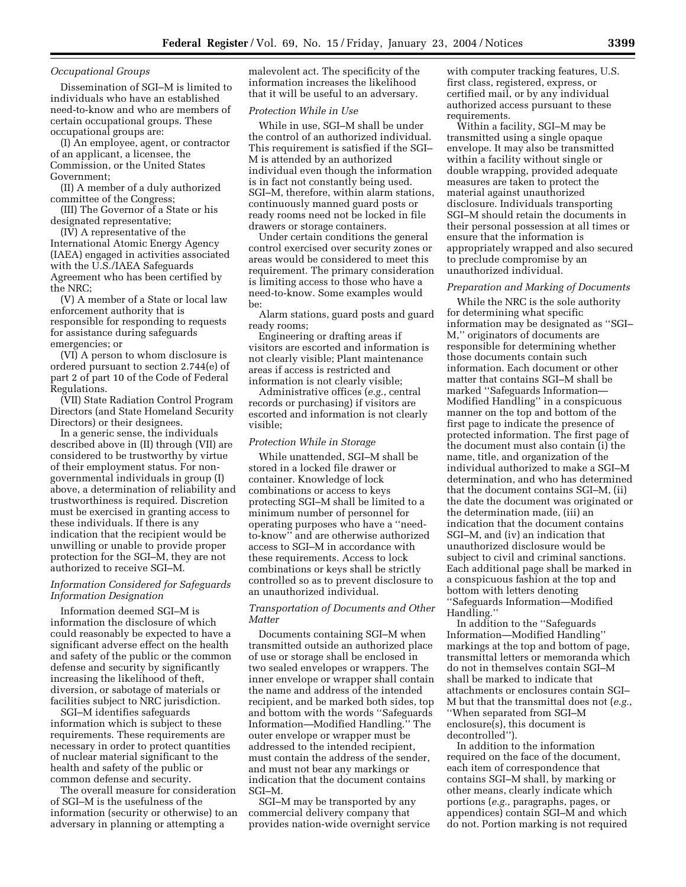### *Occupational Groups*

Dissemination of SGI–M is limited to individuals who have an established need-to-know and who are members of certain occupational groups. These occupational groups are:

(I) An employee, agent, or contractor of an applicant, a licensee, the Commission, or the United States Government;

(II) A member of a duly authorized committee of the Congress;

(III) The Governor of a State or his designated representative;

(IV) A representative of the International Atomic Energy Agency (IAEA) engaged in activities associated with the U.S./IAEA Safeguards Agreement who has been certified by the NRC;

(V) A member of a State or local law enforcement authority that is responsible for responding to requests for assistance during safeguards emergencies; or

(VI) A person to whom disclosure is ordered pursuant to section 2.744(e) of part 2 of part 10 of the Code of Federal Regulations.

(VII) State Radiation Control Program Directors (and State Homeland Security Directors) or their designees.

In a generic sense, the individuals described above in (II) through (VII) are considered to be trustworthy by virtue of their employment status. For nongovernmental individuals in group (I) above, a determination of reliability and trustworthiness is required. Discretion must be exercised in granting access to these individuals. If there is any indication that the recipient would be unwilling or unable to provide proper protection for the SGI–M, they are not authorized to receive SGI–M.

### *Information Considered for Safeguards Information Designation*

Information deemed SGI–M is information the disclosure of which could reasonably be expected to have a significant adverse effect on the health and safety of the public or the common defense and security by significantly increasing the likelihood of theft, diversion, or sabotage of materials or facilities subject to NRC jurisdiction.

SGI–M identifies safeguards information which is subject to these requirements. These requirements are necessary in order to protect quantities of nuclear material significant to the health and safety of the public or common defense and security.

The overall measure for consideration of SGI–M is the usefulness of the information (security or otherwise) to an adversary in planning or attempting a

malevolent act. The specificity of the information increases the likelihood that it will be useful to an adversary.

### *Protection While in Use*

While in use, SGI–M shall be under the control of an authorized individual. This requirement is satisfied if the SGI– M is attended by an authorized individual even though the information is in fact not constantly being used. SGI–M, therefore, within alarm stations, continuously manned guard posts or ready rooms need not be locked in file drawers or storage containers.

Under certain conditions the general control exercised over security zones or areas would be considered to meet this requirement. The primary consideration is limiting access to those who have a need-to-know. Some examples would be:

Alarm stations, guard posts and guard ready rooms;

Engineering or drafting areas if visitors are escorted and information is not clearly visible; Plant maintenance areas if access is restricted and information is not clearly visible;

Administrative offices (*e.g.*, central records or purchasing) if visitors are escorted and information is not clearly visible;

#### *Protection While in Storage*

While unattended, SGI–M shall be stored in a locked file drawer or container. Knowledge of lock combinations or access to keys protecting SGI–M shall be limited to a minimum number of personnel for operating purposes who have a ''needto-know'' and are otherwise authorized access to SGI–M in accordance with these requirements. Access to lock combinations or keys shall be strictly controlled so as to prevent disclosure to an unauthorized individual.

# *Transportation of Documents and Other Matter*

Documents containing SGI–M when transmitted outside an authorized place of use or storage shall be enclosed in two sealed envelopes or wrappers. The inner envelope or wrapper shall contain the name and address of the intended recipient, and be marked both sides, top and bottom with the words ''Safeguards Information—Modified Handling.'' The outer envelope or wrapper must be addressed to the intended recipient, must contain the address of the sender, and must not bear any markings or indication that the document contains SGI–M.

SGI–M may be transported by any commercial delivery company that provides nation-wide overnight service with computer tracking features, U.S. first class, registered, express, or certified mail, or by any individual authorized access pursuant to these requirements.

Within a facility, SGI–M may be transmitted using a single opaque envelope. It may also be transmitted within a facility without single or double wrapping, provided adequate measures are taken to protect the material against unauthorized disclosure. Individuals transporting SGI–M should retain the documents in their personal possession at all times or ensure that the information is appropriately wrapped and also secured to preclude compromise by an unauthorized individual.

#### *Preparation and Marking of Documents*

While the NRC is the sole authority for determining what specific information may be designated as ''SGI– M,'' originators of documents are responsible for determining whether those documents contain such information. Each document or other matter that contains SGI–M shall be marked ''Safeguards Information— Modified Handling'' in a conspicuous manner on the top and bottom of the first page to indicate the presence of protected information. The first page of the document must also contain (i) the name, title, and organization of the individual authorized to make a SGI–M determination, and who has determined that the document contains SGI–M, (ii) the date the document was originated or the determination made, (iii) an indication that the document contains SGI–M, and (iv) an indication that unauthorized disclosure would be subject to civil and criminal sanctions. Each additional page shall be marked in a conspicuous fashion at the top and bottom with letters denoting ''Safeguards Information—Modified Handling.''

In addition to the ''Safeguards Information—Modified Handling'' markings at the top and bottom of page, transmittal letters or memoranda which do not in themselves contain SGI–M shall be marked to indicate that attachments or enclosures contain SGI– M but that the transmittal does not (*e.g.*, ''When separated from SGI–M enclosure(s), this document is decontrolled'').

In addition to the information required on the face of the document, each item of correspondence that contains SGI–M shall, by marking or other means, clearly indicate which portions (*e.g.*, paragraphs, pages, or appendices) contain SGI–M and which do not. Portion marking is not required